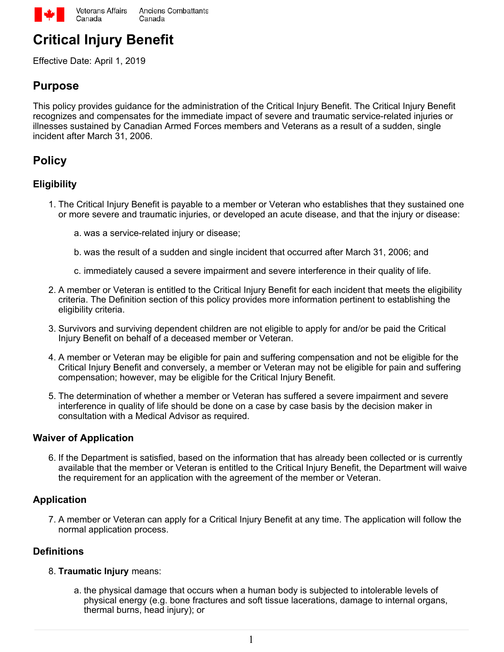

# **Critical Injury Benefit**

Effective Date: April 1, 2019

## **Purpose**

This policy provides guidance for the administration of the Critical Injury Benefit. The Critical Injury Benefit recognizes and compensates for the immediate impact of severe and traumatic service-related injuries or illnesses sustained by Canadian Armed Forces members and Veterans as a result of a sudden, single incident after March 31, 2006.

# **Policy**

## **Eligibility**

- 1. The Critical Injury Benefit is payable to a member or Veteran who establishes that they sustained one or more severe and traumatic injuries, or developed an acute disease, and that the injury or disease:
	- a. was a service-related injury or disease;
	- b. was the result of a sudden and single incident that occurred after March 31, 2006; and
	- c. immediately caused a severe impairment and severe interference in their quality of life.
- 2. A member or Veteran is entitled to the Critical Injury Benefit for each incident that meets the eligibility criteria. The Definition section of this policy provides more information pertinent to establishing the eligibility criteria.
- Survivors and surviving dependent children are not eligible to apply for and/or be paid the Critical 3. Injury Benefit on behalf of a deceased member or Veteran.
- A member or Veteran may be eligible for pain and suffering compensation and not be eligible for the 4. Critical Injury Benefit and conversely, a member or Veteran may not be eligible for pain and suffering compensation; however, may be eligible for the Critical Injury Benefit.
- 5. The determination of whether a member or Veteran has suffered a severe impairment and severe interference in quality of life should be done on a case by case basis by the decision maker in consultation with a Medical Advisor as required.

#### **Waiver of Application**

6. If the Department is satisfied, based on the information that has already been collected or is currently available that the member or Veteran is entitled to the Critical Injury Benefit, the Department will waive the requirement for an application with the agreement of the member or Veteran.

#### **Application**

7. A member or Veteran can apply for a Critical Injury Benefit at any time. The application will follow the normal application process.

#### **Definitions**

#### **Traumatic Injury** means: 8.

a. the physical damage that occurs when a human body is subjected to intolerable levels of physical energy (e.g. bone fractures and soft tissue lacerations, damage to internal organs, thermal burns, head injury); or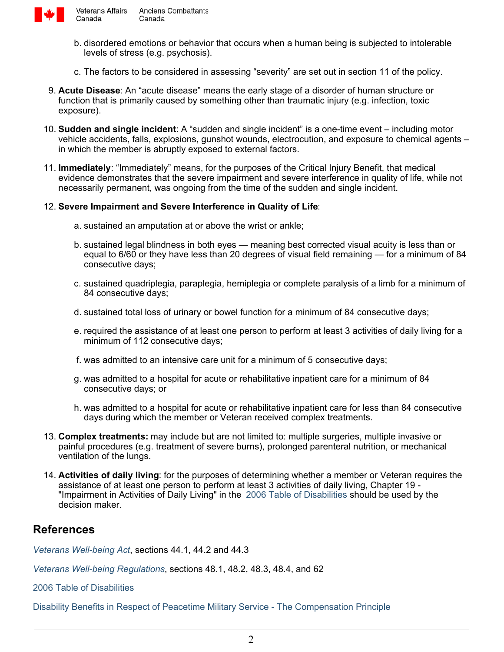

Canada

Veterans Affairs **Anciens Combattants** Canada

- b. disordered emotions or behavior that occurs when a human being is subjected to intolerable levels of stress (e.g. psychosis).
- c. The factors to be considered in assessing "severity" are set out in section 11 of the policy.
- **Acute Disease**: An "acute disease" means the early stage of a disorder of human structure or 9. function that is primarily caused by something other than traumatic injury (e.g. infection, toxic exposure).
- **Sudden and single incident**: A "sudden and single incident" is a one-time event including motor 10. vehicle accidents, falls, explosions, gunshot wounds, electrocution, and exposure to chemical agents – in which the member is abruptly exposed to external factors.
- **Immediately**: "Immediately" means, for the purposes of the Critical Injury Benefit, that medical 11. evidence demonstrates that the severe impairment and severe interference in quality of life, while not necessarily permanent, was ongoing from the time of the sudden and single incident.

#### **Severe Impairment and Severe Interference in Quality of Life**: 12.

- a. sustained an amputation at or above the wrist or ankle;
- b. sustained legal blindness in both eyes meaning best corrected visual acuity is less than or equal to 6/60 or they have less than 20 degrees of visual field remaining — for a minimum of 84 consecutive days;
- c. sustained quadriplegia, paraplegia, hemiplegia or complete paralysis of a limb for a minimum of 84 consecutive days;
- d. sustained total loss of urinary or bowel function for a minimum of 84 consecutive days;
- e. required the assistance of at least one person to perform at least 3 activities of daily living for a minimum of 112 consecutive days;
- f. was admitted to an intensive care unit for a minimum of 5 consecutive days;
- g. was admitted to a hospital for acute or rehabilitative inpatient care for a minimum of 84 consecutive days; or
- h. was admitted to a hospital for acute or rehabilitative inpatient care for less than 84 consecutive days during which the member or Veteran received complex treatments.
- **Complex treatments:** may include but are not limited to: multiple surgeries, multiple invasive or 13. painful procedures (e.g. treatment of severe burns), prolonged parenteral nutrition, or mechanical ventilation of the lungs.
- **Activities of daily living**: for the purposes of determining whether a member or Veteran requires the 14. assistance of at least one person to perform at least 3 activities of daily living, Chapter 19 - "Impairment in Activities of Daily Living" in the [2006 Table of Disabilities](http://www.veterans.gc.ca/eng/services/after-injury/disability-benefits/benefits-determined/table-of-disabilities) should be used by the decision maker.

## **References**

*[Veterans Well-being Act](http://laws-lois.justice.gc.ca/eng/acts/C-16.8/)*, sections 44.1, 44.2 and 44.3

*[Veterans Well-being Regulations](http://laws-lois.justice.gc.ca/eng/regulations/SOR-2006-50/index.html)*, sections 48.1, 48.2, 48.3, 48.4, and 62

[2006 Table of Disabilities](http://www.veterans.gc.ca/eng/services/after-injury/disability-benefits/benefits-determined/table-of-disabilities)

[Disability Benefits in Respect of Peacetime Military Service - The Compensation Principle](https://www.veterans.gc.ca/eng/about-vac/legislation-policies/policies/document/1578)